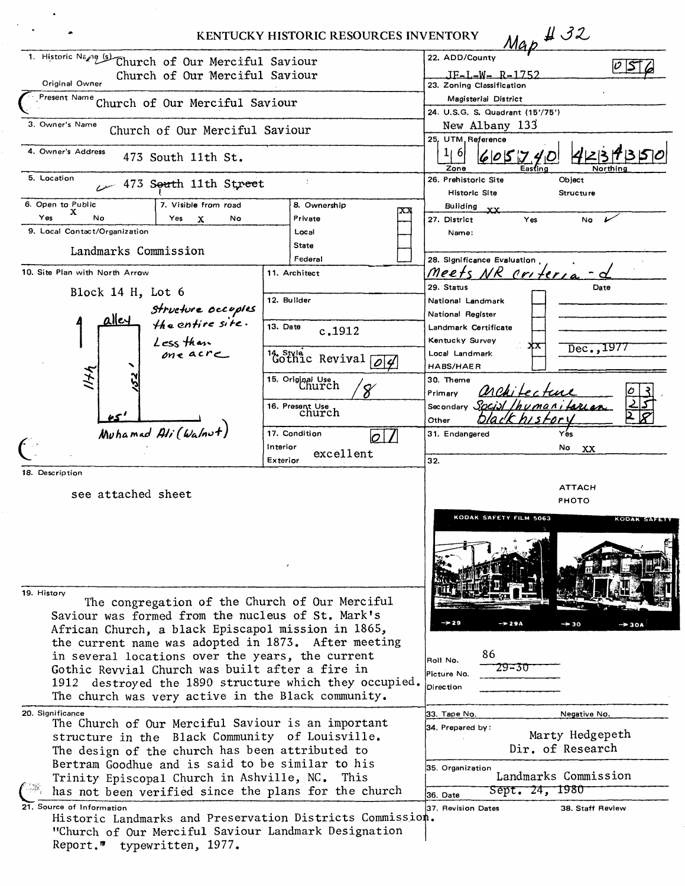|                                                                                                              |                                   | KENTUCKY HISTORIC RESOURCES INVENTORY |                                              |                                                                       | $Map$ $432$                   |                                       |
|--------------------------------------------------------------------------------------------------------------|-----------------------------------|---------------------------------------|----------------------------------------------|-----------------------------------------------------------------------|-------------------------------|---------------------------------------|
| 1. Historic Name (s)<br>Church of Our Merciful Saviour<br>Church of Our Merciful Saviour<br>Original Owner   |                                   |                                       |                                              | 22. ADD/County<br><u> JE-L-W- R-1752</u><br>23. Zoning Classification |                               | v S                                   |
| Present Name Church of Our Merciful Saviour                                                                  |                                   |                                       |                                              | Magisterial District<br>24. U.S.G. S. Quadrant (15'/75')              |                               |                                       |
| 3. Owner's Name<br>Church of Our Merciful Saviour                                                            |                                   |                                       | New Albany 133<br>25, UTM, Reference         |                                                                       |                               |                                       |
| 4. Owner's Address<br>473 South 11th St.                                                                     |                                   |                                       | 1   6 <br>Zone                               | 6055<br>Easting                                                       | Northin                       |                                       |
| 5. Location<br>÷<br>473 South 11th Street                                                                    |                                   |                                       | 26. Prehistoric Site<br><b>Historic Site</b> |                                                                       | Object<br><b>Structure</b>    |                                       |
| 6. Open to Public<br>7. Visible from road<br>x                                                               |                                   | 8. Ownership                          |                                              | Building<br>$\mathbf{x} \mathbf{x}$                                   |                               |                                       |
| Yes<br>No<br>Yes<br>No<br>х                                                                                  | Private                           |                                       |                                              | 27. District                                                          | Yes                           | No                                    |
| 9. Local Contact/Organization                                                                                | Local                             |                                       |                                              | Name:                                                                 |                               |                                       |
| Landmarks Commission                                                                                         | State                             |                                       |                                              |                                                                       |                               |                                       |
| 10. Site Plan with North Arrow                                                                               | Federal<br>11. Architect          |                                       |                                              | 28. Significance Evaluation                                           |                               |                                       |
|                                                                                                              |                                   |                                       |                                              | Meets NR criteria<br>29. Status                                       |                               | Date                                  |
| Block 14 H, Lot 6                                                                                            | 12. Builder                       |                                       |                                              | National Landmark                                                     |                               |                                       |
| structure occupies<br>the entire site.                                                                       |                                   |                                       |                                              | National Register                                                     |                               |                                       |
|                                                                                                              | 13. Date                          |                                       |                                              | Landmark Certificate                                                  |                               |                                       |
|                                                                                                              |                                   | c, 1912                               |                                              | Kentucky Survey                                                       |                               |                                       |
| Less than<br>one acre                                                                                        |                                   |                                       |                                              | Local Landmark                                                        | xх                            | Dec., 1977                            |
|                                                                                                              | <sup>14</sup> Style Revival<br> O |                                       |                                              | HABS/HAER                                                             |                               |                                       |
| 174                                                                                                          | 15. Original Use Church           |                                       | 30. Theme<br>Primary                         |                                                                       |                               |                                       |
|                                                                                                              |                                   | 16. Present Use<br>Church             | Secondary                                    | Social Inumanitarian                                                  |                               |                                       |
| Muhamad Ali (Walnut)                                                                                         |                                   |                                       |                                              | Other                                                                 |                               |                                       |
|                                                                                                              | 17. Condition                     |                                       |                                              | 31. Endangered                                                        |                               | Yes                                   |
|                                                                                                              | Interior                          | excellent                             |                                              |                                                                       |                               | Νo<br>XX.                             |
| 18. Description                                                                                              | Exterior                          |                                       |                                              | 32.                                                                   |                               |                                       |
|                                                                                                              |                                   |                                       |                                              |                                                                       | ATTACH                        |                                       |
| see attached sheet                                                                                           |                                   |                                       |                                              |                                                                       | PHOTO                         |                                       |
|                                                                                                              |                                   |                                       |                                              |                                                                       | <b>KODAK SAFETY FILM 5063</b> | <b>KODAK SAFE</b>                     |
|                                                                                                              |                                   |                                       |                                              |                                                                       |                               |                                       |
|                                                                                                              |                                   |                                       |                                              |                                                                       |                               |                                       |
|                                                                                                              |                                   |                                       |                                              |                                                                       |                               |                                       |
|                                                                                                              |                                   |                                       |                                              |                                                                       |                               |                                       |
| 19. History                                                                                                  |                                   |                                       |                                              |                                                                       |                               |                                       |
| The congregation of the Church of Our Merciful                                                               |                                   |                                       |                                              |                                                                       |                               |                                       |
| Saviour was formed from the nucleus of St. Mark's                                                            |                                   |                                       |                                              |                                                                       |                               |                                       |
| African Church, a black Episcapol mission in 1865,                                                           |                                   |                                       |                                              | $\rightarrow 29$                                                      | $\rightarrow$ 29A             | $\rightarrow$ 30<br>$\rightarrow$ 30A |
| the current name was adopted in 1873. After meeting                                                          |                                   |                                       |                                              |                                                                       |                               |                                       |
| in several locations over the years, the current                                                             |                                   |                                       |                                              | 86<br>Roll No.                                                        |                               |                                       |
| Gothic Revvial Church was built after a fire in                                                              |                                   |                                       |                                              | Picture No.                                                           | 29-30                         |                                       |
| 1912 destroyed the 1890 structure which they occupied.<br>The church was very active in the Black community. |                                   |                                       |                                              | Direction                                                             |                               |                                       |
|                                                                                                              |                                   |                                       |                                              |                                                                       |                               |                                       |
| 20. Significance                                                                                             |                                   |                                       |                                              | 33. Tape No.                                                          |                               | Negative No.                          |
| The Church of Our Merciful Saviour is an important<br>structure in the Black Community of Louisville.        |                                   |                                       | 34. Prepared by:                             |                                                                       | Marty Hedgepeth               |                                       |
| The design of the church has been attributed to                                                              |                                   |                                       |                                              |                                                                       | Dir. of Research              |                                       |
| Bertram Goodhue and is said to be similar to his                                                             |                                   |                                       | 35. Organization                             |                                                                       |                               |                                       |
| Trinity Episcopal Church in Ashville, NC. This                                                               |                                   |                                       |                                              |                                                                       | Landmarks Commission          |                                       |
| has not been verified since the plans for the church                                                         |                                   |                                       |                                              | 36. Date                                                              | Sept. 24, 1980                |                                       |
| 21. Source of Information                                                                                    |                                   |                                       |                                              | 37. Revision Dates                                                    |                               | 38. Staff Review                      |
| Historic Landmarks and Preservation Districts Commission.                                                    |                                   |                                       |                                              |                                                                       |                               |                                       |
| "Church of Our Merciful Saviour Landmark Designation                                                         |                                   |                                       |                                              |                                                                       |                               |                                       |
| Report." typewritten, 1977.                                                                                  |                                   |                                       |                                              |                                                                       |                               |                                       |
|                                                                                                              |                                   |                                       |                                              |                                                                       |                               |                                       |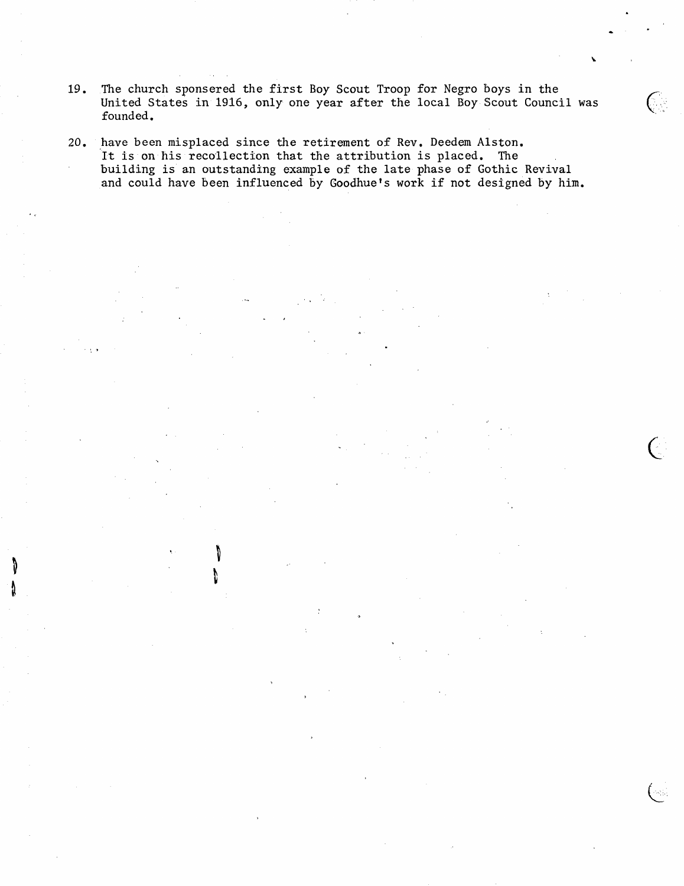- 19. The church sponsered the first Boy Scout Troop for Negro boys in the United States in 1916, only one year after the local Boy Scout Council was  $\left($ founded.
- 20. have been misplaced since the retirement of Rev. Deedem Alston. It is on his recollection that the attribution is placed. The building is an outstanding example of the late phase of Gothic Revival and could have been influenced by Goodhue's work if not designed by him.